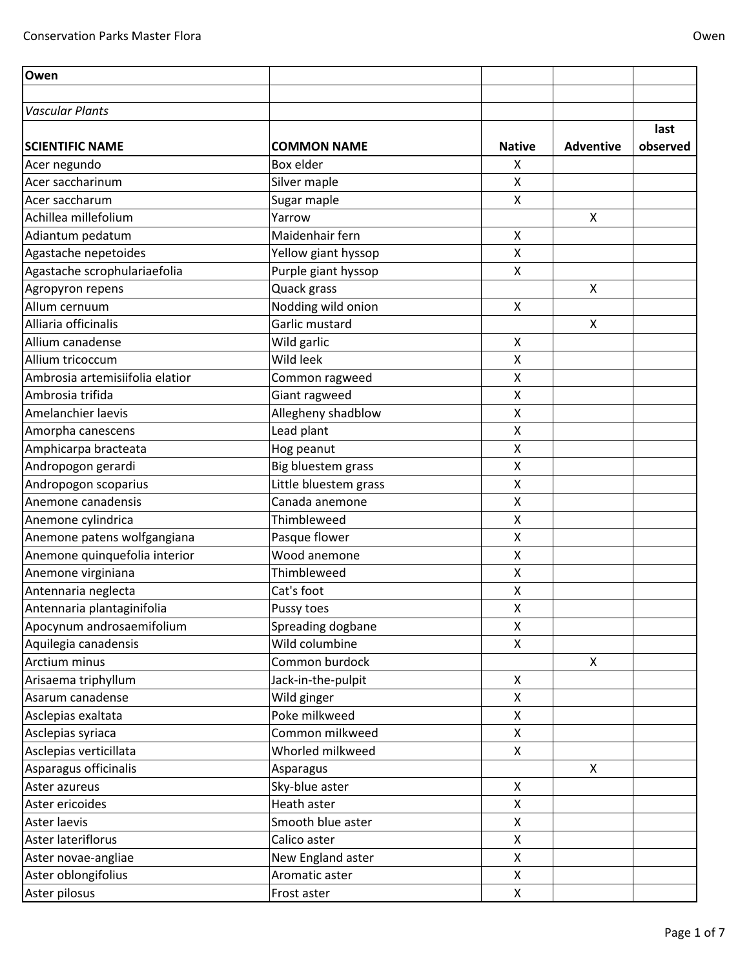| Owen                            |                       |                    |                  |          |
|---------------------------------|-----------------------|--------------------|------------------|----------|
|                                 |                       |                    |                  |          |
| <b>Vascular Plants</b>          |                       |                    |                  |          |
|                                 |                       |                    |                  | last     |
| <b>SCIENTIFIC NAME</b>          | <b>COMMON NAME</b>    | <b>Native</b>      | <b>Adventive</b> | observed |
| Acer negundo                    | Box elder             | X                  |                  |          |
| Acer saccharinum                | Silver maple          | Χ                  |                  |          |
| Acer saccharum                  | Sugar maple           | Χ                  |                  |          |
| Achillea millefolium            | Yarrow                |                    | X                |          |
| Adiantum pedatum                | Maidenhair fern       | Χ                  |                  |          |
| Agastache nepetoides            | Yellow giant hyssop   | Χ                  |                  |          |
| Agastache scrophulariaefolia    | Purple giant hyssop   | Χ                  |                  |          |
| Agropyron repens                | Quack grass           |                    | X                |          |
| Allum cernuum                   | Nodding wild onion    | Χ                  |                  |          |
| Alliaria officinalis            | Garlic mustard        |                    | X                |          |
| Allium canadense                | Wild garlic           | Χ                  |                  |          |
| Allium tricoccum                | Wild leek             | Χ                  |                  |          |
| Ambrosia artemisiifolia elatior | Common ragweed        | Χ                  |                  |          |
| Ambrosia trifida                | Giant ragweed         | Χ                  |                  |          |
| Amelanchier laevis              | Allegheny shadblow    | Χ                  |                  |          |
| Amorpha canescens               | Lead plant            | Χ                  |                  |          |
| Amphicarpa bracteata            | Hog peanut            | Χ                  |                  |          |
| Andropogon gerardi              | Big bluestem grass    | Χ                  |                  |          |
| Andropogon scoparius            | Little bluestem grass | Χ                  |                  |          |
| Anemone canadensis              | Canada anemone        | X                  |                  |          |
| Anemone cylindrica              | Thimbleweed           | Χ                  |                  |          |
| Anemone patens wolfgangiana     | Pasque flower         | Χ                  |                  |          |
| Anemone quinquefolia interior   | Wood anemone          | X                  |                  |          |
| Anemone virginiana              | Thimbleweed           | Χ                  |                  |          |
| Antennaria neglecta             | Cat's foot            | Χ                  |                  |          |
| Antennaria plantaginifolia      | Pussy toes            | Χ                  |                  |          |
| Apocynum androsaemifolium       | Spreading dogbane     | Χ                  |                  |          |
| Aquilegia canadensis            | Wild columbine        | X                  |                  |          |
| Arctium minus                   | Common burdock        |                    | X                |          |
| Arisaema triphyllum             | Jack-in-the-pulpit    | $\pmb{\mathsf{X}}$ |                  |          |
| Asarum canadense                | Wild ginger           | Χ                  |                  |          |
| Asclepias exaltata              | Poke milkweed         | X                  |                  |          |
| Asclepias syriaca               | Common milkweed       | X                  |                  |          |
| Asclepias verticillata          | Whorled milkweed      | X                  |                  |          |
| Asparagus officinalis           | Asparagus             |                    | X                |          |
| Aster azureus                   | Sky-blue aster        | Χ                  |                  |          |
| Aster ericoides                 | Heath aster           | X                  |                  |          |
| Aster laevis                    | Smooth blue aster     | Χ                  |                  |          |
| Aster lateriflorus              | Calico aster          | X                  |                  |          |
| Aster novae-angliae             | New England aster     | Χ                  |                  |          |
| Aster oblongifolius             | Aromatic aster        | X                  |                  |          |
| Aster pilosus                   | Frost aster           | X                  |                  |          |
|                                 |                       |                    |                  |          |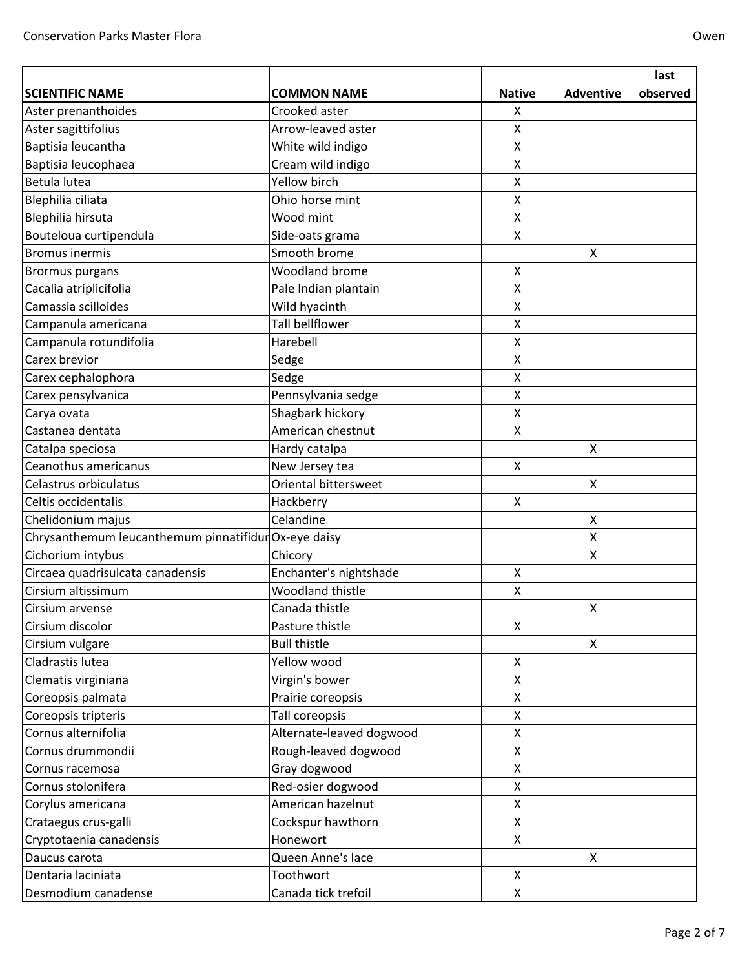|                                                      |                          |                    |                    | last     |
|------------------------------------------------------|--------------------------|--------------------|--------------------|----------|
| <b>SCIENTIFIC NAME</b>                               | <b>COMMON NAME</b>       | <b>Native</b>      | <b>Adventive</b>   | observed |
| Aster prenanthoides                                  | Crooked aster            | X                  |                    |          |
| Aster sagittifolius                                  | Arrow-leaved aster       | X                  |                    |          |
| Baptisia leucantha                                   | White wild indigo        | X                  |                    |          |
| Baptisia leucophaea                                  | Cream wild indigo        | X                  |                    |          |
| Betula lutea                                         | Yellow birch             | X                  |                    |          |
| Blephilia ciliata                                    | Ohio horse mint          | $\pmb{\mathsf{X}}$ |                    |          |
| <b>Blephilia hirsuta</b>                             | Wood mint                | X                  |                    |          |
| Bouteloua curtipendula                               | Side-oats grama          | $\pmb{\times}$     |                    |          |
| <b>Bromus inermis</b>                                | Smooth brome             |                    | X                  |          |
| Brormus purgans                                      | <b>Woodland brome</b>    | $\pmb{\times}$     |                    |          |
| Cacalia atriplicifolia                               | Pale Indian plantain     | $\pmb{\mathsf{X}}$ |                    |          |
| Camassia scilloides                                  | Wild hyacinth            | $\pmb{\mathsf{X}}$ |                    |          |
| Campanula americana                                  | <b>Tall bellflower</b>   | $\pmb{\mathsf{X}}$ |                    |          |
| Campanula rotundifolia                               | Harebell                 | X                  |                    |          |
| Carex brevior                                        | Sedge                    | $\pmb{\mathsf{X}}$ |                    |          |
| Carex cephalophora                                   | Sedge                    | $\pmb{\mathsf{X}}$ |                    |          |
| Carex pensylvanica                                   | Pennsylvania sedge       | $\pmb{\mathsf{X}}$ |                    |          |
| Carya ovata                                          | Shagbark hickory         | $\pmb{\mathsf{X}}$ |                    |          |
| Castanea dentata                                     | American chestnut        | $\pmb{\mathsf{X}}$ |                    |          |
| Catalpa speciosa                                     | Hardy catalpa            |                    | X                  |          |
| Ceanothus americanus                                 | New Jersey tea           | X                  |                    |          |
| Celastrus orbiculatus                                | Oriental bittersweet     |                    | Χ                  |          |
| Celtis occidentalis                                  | Hackberry                | X                  |                    |          |
| Chelidonium majus                                    | Celandine                |                    | Χ                  |          |
| Chrysanthemum leucanthemum pinnatifidur Ox-eye daisy |                          |                    | X                  |          |
| Cichorium intybus                                    | Chicory                  |                    | Χ                  |          |
| Circaea quadrisulcata canadensis                     | Enchanter's nightshade   | $\pmb{\mathsf{X}}$ |                    |          |
| Cirsium altissimum                                   | Woodland thistle         | $\pmb{\mathsf{X}}$ |                    |          |
| Cirsium arvense                                      | Canada thistle           |                    | $\pmb{\mathsf{X}}$ |          |
| Cirsium discolor                                     | Pasture thistle          | X                  |                    |          |
| Cirsium vulgare                                      | <b>Bull thistle</b>      |                    | X                  |          |
| Cladrastis lutea                                     | Yellow wood              | X                  |                    |          |
| Clematis virginiana                                  | Virgin's bower           | X                  |                    |          |
| Coreopsis palmata                                    | Prairie coreopsis        | X                  |                    |          |
| Coreopsis tripteris                                  | Tall coreopsis           | X                  |                    |          |
| Cornus alternifolia                                  | Alternate-leaved dogwood | $\mathsf{x}$       |                    |          |
| Cornus drummondii                                    | Rough-leaved dogwood     | X                  |                    |          |
| Cornus racemosa                                      | Gray dogwood             | X                  |                    |          |
| Cornus stolonifera                                   | Red-osier dogwood        | X                  |                    |          |
| Corylus americana                                    | American hazelnut        | X                  |                    |          |
| Crataegus crus-galli                                 | Cockspur hawthorn        | X                  |                    |          |
| Cryptotaenia canadensis                              | Honewort                 | X                  |                    |          |
| Daucus carota                                        | Queen Anne's lace        |                    | X                  |          |
| Dentaria laciniata                                   | Toothwort                | $\pmb{\mathsf{X}}$ |                    |          |
| Desmodium canadense                                  | Canada tick trefoil      | X                  |                    |          |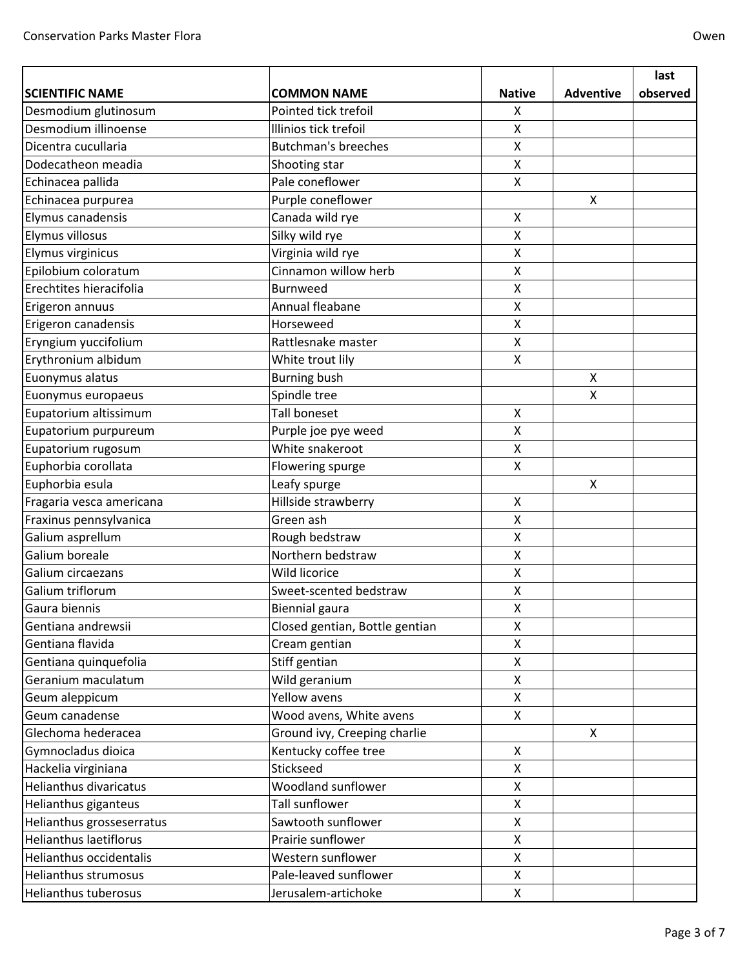|                               |                                |                    |                  | last     |
|-------------------------------|--------------------------------|--------------------|------------------|----------|
| <b>SCIENTIFIC NAME</b>        | <b>COMMON NAME</b>             | <b>Native</b>      | <b>Adventive</b> | observed |
| Desmodium glutinosum          | Pointed tick trefoil           | X                  |                  |          |
| Desmodium illinoense          | Illinios tick trefoil          | X                  |                  |          |
| Dicentra cucullaria           | <b>Butchman's breeches</b>     | X                  |                  |          |
| Dodecatheon meadia            | Shooting star                  | $\pmb{\mathsf{X}}$ |                  |          |
| Echinacea pallida             | Pale coneflower                | X                  |                  |          |
| Echinacea purpurea            | Purple coneflower              |                    | X                |          |
| Elymus canadensis             | Canada wild rye                | X                  |                  |          |
| Elymus villosus               | Silky wild rye                 | X                  |                  |          |
| Elymus virginicus             | Virginia wild rye              | X                  |                  |          |
| Epilobium coloratum           | Cinnamon willow herb           | $\pmb{\mathsf{X}}$ |                  |          |
| Erechtites hieracifolia       | <b>Burnweed</b>                | X                  |                  |          |
| Erigeron annuus               | Annual fleabane                | X                  |                  |          |
| Erigeron canadensis           | Horseweed                      | $\pmb{\mathsf{X}}$ |                  |          |
| Eryngium yuccifolium          | Rattlesnake master             | $\pmb{\mathsf{X}}$ |                  |          |
| Erythronium albidum           | White trout lily               | $\mathsf{x}$       |                  |          |
| Euonymus alatus               | <b>Burning bush</b>            |                    | Χ                |          |
| Euonymus europaeus            | Spindle tree                   |                    | X                |          |
| Eupatorium altissimum         | <b>Tall boneset</b>            | $\pmb{\mathsf{X}}$ |                  |          |
| Eupatorium purpureum          | Purple joe pye weed            | X                  |                  |          |
| Eupatorium rugosum            | White snakeroot                | X                  |                  |          |
| Euphorbia corollata           | Flowering spurge               | X                  |                  |          |
| Euphorbia esula               | Leafy spurge                   |                    | Χ                |          |
| Fragaria vesca americana      | Hillside strawberry            | $\pmb{\mathsf{X}}$ |                  |          |
| Fraxinus pennsylvanica        | Green ash                      | X                  |                  |          |
| Galium asprellum              | Rough bedstraw                 | X                  |                  |          |
| Galium boreale                | Northern bedstraw              | X                  |                  |          |
| Galium circaezans             | Wild licorice                  | X                  |                  |          |
| Galium triflorum              | Sweet-scented bedstraw         | X                  |                  |          |
| Gaura biennis                 | <b>Biennial gaura</b>          | X                  |                  |          |
| Gentiana andrewsii            | Closed gentian, Bottle gentian | X                  |                  |          |
| Gentiana flavida              | Cream gentian                  | X                  |                  |          |
| Gentiana quinquefolia         | Stiff gentian                  | X                  |                  |          |
| Geranium maculatum            | Wild geranium                  | X                  |                  |          |
| Geum aleppicum                | <b>Yellow avens</b>            | X                  |                  |          |
| Geum canadense                | Wood avens, White avens        | X                  |                  |          |
| Glechoma hederacea            | Ground ivy, Creeping charlie   |                    | X                |          |
| Gymnocladus dioica            | Kentucky coffee tree           | $\mathsf{X}$       |                  |          |
| Hackelia virginiana           | Stickseed                      | X                  |                  |          |
| Helianthus divaricatus        | Woodland sunflower             | X                  |                  |          |
| Helianthus giganteus          | Tall sunflower                 | X                  |                  |          |
| Helianthus grosseserratus     | Sawtooth sunflower             | X                  |                  |          |
| <b>Helianthus laetiflorus</b> | Prairie sunflower              | $\pmb{\mathsf{X}}$ |                  |          |
| Helianthus occidentalis       | Western sunflower              | X                  |                  |          |
| Helianthus strumosus          | Pale-leaved sunflower          | X                  |                  |          |
| Helianthus tuberosus          | Jerusalem-artichoke            | X                  |                  |          |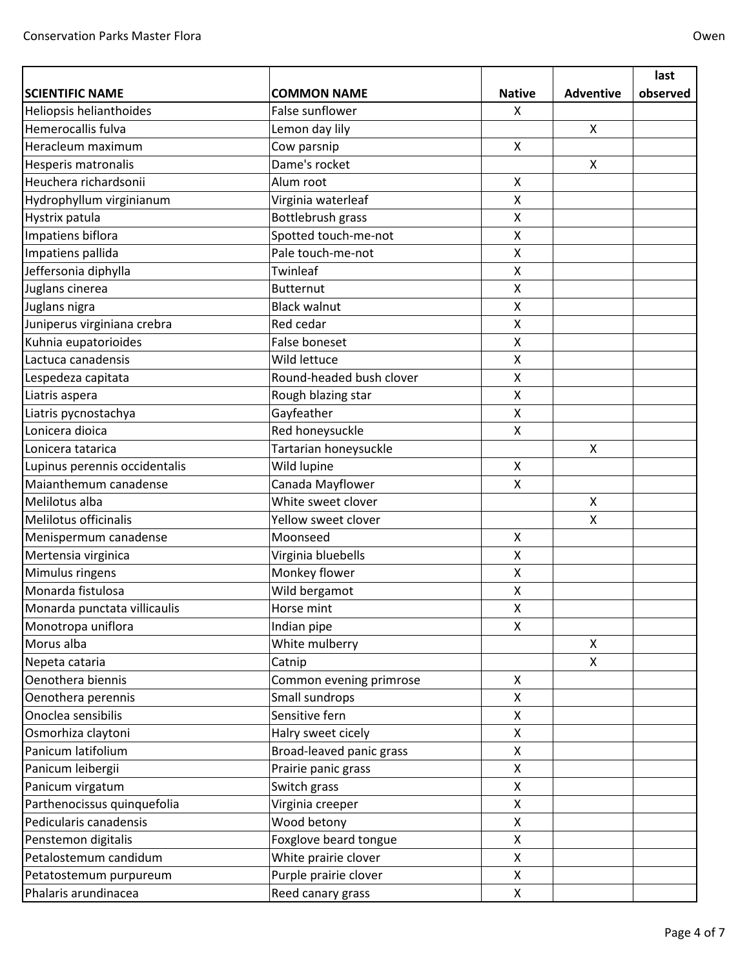|                               |                          |                    |                  | last     |
|-------------------------------|--------------------------|--------------------|------------------|----------|
| <b>SCIENTIFIC NAME</b>        | <b>COMMON NAME</b>       | <b>Native</b>      | <b>Adventive</b> | observed |
| Heliopsis helianthoides       | False sunflower          | X                  |                  |          |
| Hemerocallis fulva            | Lemon day lily           |                    | X                |          |
| Heracleum maximum             | Cow parsnip              | $\mathsf{X}$       |                  |          |
| Hesperis matronalis           | Dame's rocket            |                    | $\mathsf{x}$     |          |
| Heuchera richardsonii         | Alum root                | X                  |                  |          |
| Hydrophyllum virginianum      | Virginia waterleaf       | X                  |                  |          |
| Hystrix patula                | Bottlebrush grass        | X                  |                  |          |
| Impatiens biflora             | Spotted touch-me-not     | X                  |                  |          |
| Impatiens pallida             | Pale touch-me-not        | Χ                  |                  |          |
| Jeffersonia diphylla          | Twinleaf                 | X                  |                  |          |
| Juglans cinerea               | <b>Butternut</b>         | X                  |                  |          |
| Juglans nigra                 | <b>Black walnut</b>      | Χ                  |                  |          |
| Juniperus virginiana crebra   | Red cedar                | X                  |                  |          |
| Kuhnia eupatorioides          | <b>False boneset</b>     | X                  |                  |          |
| Lactuca canadensis            | Wild lettuce             | X                  |                  |          |
| Lespedeza capitata            | Round-headed bush clover | X                  |                  |          |
| Liatris aspera                | Rough blazing star       | X                  |                  |          |
| Liatris pycnostachya          | Gayfeather               | $\pmb{\mathsf{X}}$ |                  |          |
| Lonicera dioica               | Red honeysuckle          | X                  |                  |          |
| Lonicera tatarica             | Tartarian honeysuckle    |                    | X                |          |
| Lupinus perennis occidentalis | Wild lupine              | X                  |                  |          |
| Maianthemum canadense         | Canada Mayflower         | X                  |                  |          |
| Melilotus alba                | White sweet clover       |                    | X                |          |
| Melilotus officinalis         | Yellow sweet clover      |                    | X                |          |
| Menispermum canadense         | Moonseed                 | X                  |                  |          |
| Mertensia virginica           | Virginia bluebells       | X                  |                  |          |
| Mimulus ringens               | Monkey flower            | X                  |                  |          |
| Monarda fistulosa             | Wild bergamot            | X                  |                  |          |
| Monarda punctata villicaulis  | Horse mint               | X                  |                  |          |
| Monotropa uniflora            | Indian pipe              | X                  |                  |          |
| Morus alba                    | White mulberry           |                    | X                |          |
| Nepeta cataria                | Catnip                   |                    | X                |          |
| Oenothera biennis             | Common evening primrose  | X                  |                  |          |
| Oenothera perennis            | Small sundrops           | X                  |                  |          |
| Onoclea sensibilis            | Sensitive fern           | X                  |                  |          |
| Osmorhiza claytoni            | Halry sweet cicely       | X                  |                  |          |
| Panicum latifolium            | Broad-leaved panic grass | X                  |                  |          |
| Panicum leibergii             | Prairie panic grass      | X                  |                  |          |
| Panicum virgatum              | Switch grass             | X                  |                  |          |
| Parthenocissus quinquefolia   | Virginia creeper         | X                  |                  |          |
| Pedicularis canadensis        | Wood betony              | X                  |                  |          |
| Penstemon digitalis           | Foxglove beard tongue    | X                  |                  |          |
| Petalostemum candidum         | White prairie clover     | X                  |                  |          |
| Petatostemum purpureum        | Purple prairie clover    | X                  |                  |          |
| Phalaris arundinacea          | Reed canary grass        | X                  |                  |          |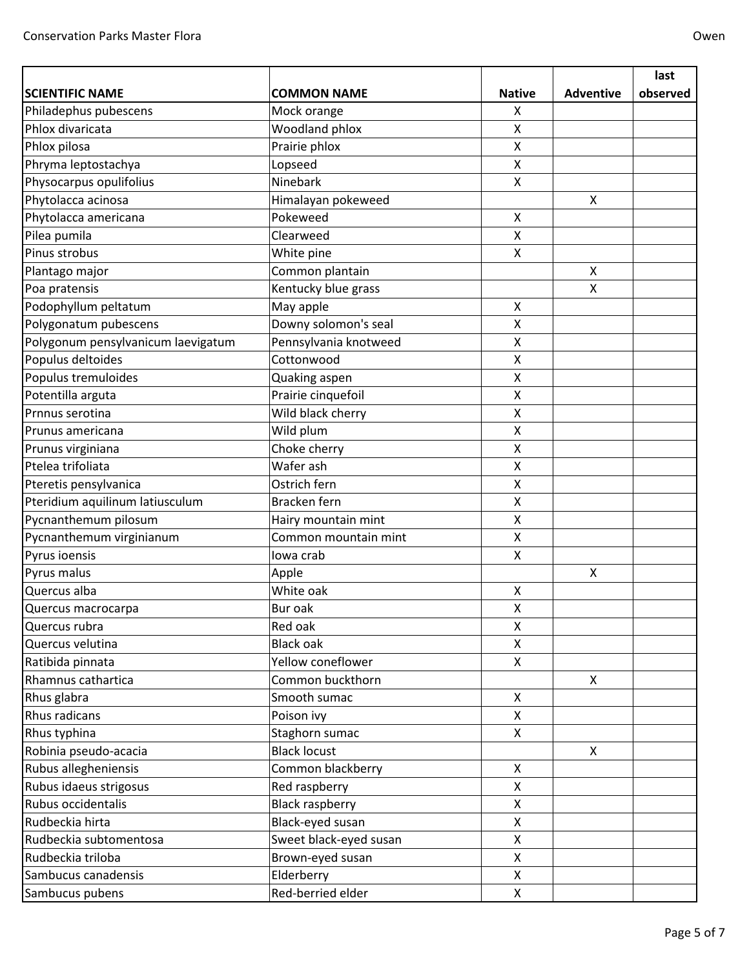|                                    |                        |                    |                  | last     |
|------------------------------------|------------------------|--------------------|------------------|----------|
| <b>SCIENTIFIC NAME</b>             | <b>COMMON NAME</b>     | <b>Native</b>      | <b>Adventive</b> | observed |
| Philadephus pubescens              | Mock orange            | X                  |                  |          |
| Phlox divaricata                   | Woodland phlox         | X                  |                  |          |
| Phlox pilosa                       | Prairie phlox          | X                  |                  |          |
| Phryma leptostachya                | Lopseed                | X                  |                  |          |
| Physocarpus opulifolius            | Ninebark               | X                  |                  |          |
| Phytolacca acinosa                 | Himalayan pokeweed     |                    | Χ                |          |
| Phytolacca americana               | Pokeweed               | X                  |                  |          |
| Pilea pumila                       | Clearweed              | $\mathsf{X}$       |                  |          |
| Pinus strobus                      | White pine             | X                  |                  |          |
| Plantago major                     | Common plantain        |                    | Χ                |          |
| Poa pratensis                      | Kentucky blue grass    |                    | X                |          |
| Podophyllum peltatum               | May apple              | $\pmb{\mathsf{X}}$ |                  |          |
| Polygonatum pubescens              | Downy solomon's seal   | $\pmb{\mathsf{X}}$ |                  |          |
| Polygonum pensylvanicum laevigatum | Pennsylvania knotweed  | X                  |                  |          |
| Populus deltoides                  | Cottonwood             | X                  |                  |          |
| Populus tremuloides                | Quaking aspen          | X                  |                  |          |
| Potentilla arguta                  | Prairie cinquefoil     | X                  |                  |          |
| Prnnus serotina                    | Wild black cherry      | Χ                  |                  |          |
| Prunus americana                   | Wild plum              | $\pmb{\mathsf{X}}$ |                  |          |
| Prunus virginiana                  | Choke cherry           | X                  |                  |          |
| Ptelea trifoliata                  | Wafer ash              | X                  |                  |          |
| Pteretis pensylvanica              | Ostrich fern           | $\pmb{\mathsf{X}}$ |                  |          |
| Pteridium aquilinum latiusculum    | Bracken fern           | X                  |                  |          |
| Pycnanthemum pilosum               | Hairy mountain mint    | X                  |                  |          |
| Pycnanthemum virginianum           | Common mountain mint   | $\pmb{\mathsf{X}}$ |                  |          |
| Pyrus ioensis                      | lowa crab              | X                  |                  |          |
| Pyrus malus                        | Apple                  |                    | X                |          |
| Quercus alba                       | White oak              | Χ                  |                  |          |
| Quercus macrocarpa                 | Bur oak                | $\pmb{\mathsf{X}}$ |                  |          |
| Quercus rubra                      | Red oak                | X                  |                  |          |
| Quercus velutina                   | <b>Black oak</b>       | X                  |                  |          |
| Ratibida pinnata                   | Yellow coneflower      | X                  |                  |          |
| Rhamnus cathartica                 | Common buckthorn       |                    | X                |          |
| Rhus glabra                        | Smooth sumac           | X                  |                  |          |
| Rhus radicans                      | Poison ivy             | X                  |                  |          |
| Rhus typhina                       | Staghorn sumac         | X                  |                  |          |
| Robinia pseudo-acacia              | <b>Black locust</b>    |                    | X                |          |
| Rubus allegheniensis               | Common blackberry      | X                  |                  |          |
| Rubus idaeus strigosus             | Red raspberry          | $\mathsf{x}$       |                  |          |
| Rubus occidentalis                 | <b>Black raspberry</b> | X                  |                  |          |
| Rudbeckia hirta                    | Black-eyed susan       | X                  |                  |          |
| Rudbeckia subtomentosa             | Sweet black-eyed susan | X                  |                  |          |
| Rudbeckia triloba                  | Brown-eyed susan       | X                  |                  |          |
| Sambucus canadensis                | Elderberry             | $\mathsf X$        |                  |          |
| Sambucus pubens                    | Red-berried elder      | X                  |                  |          |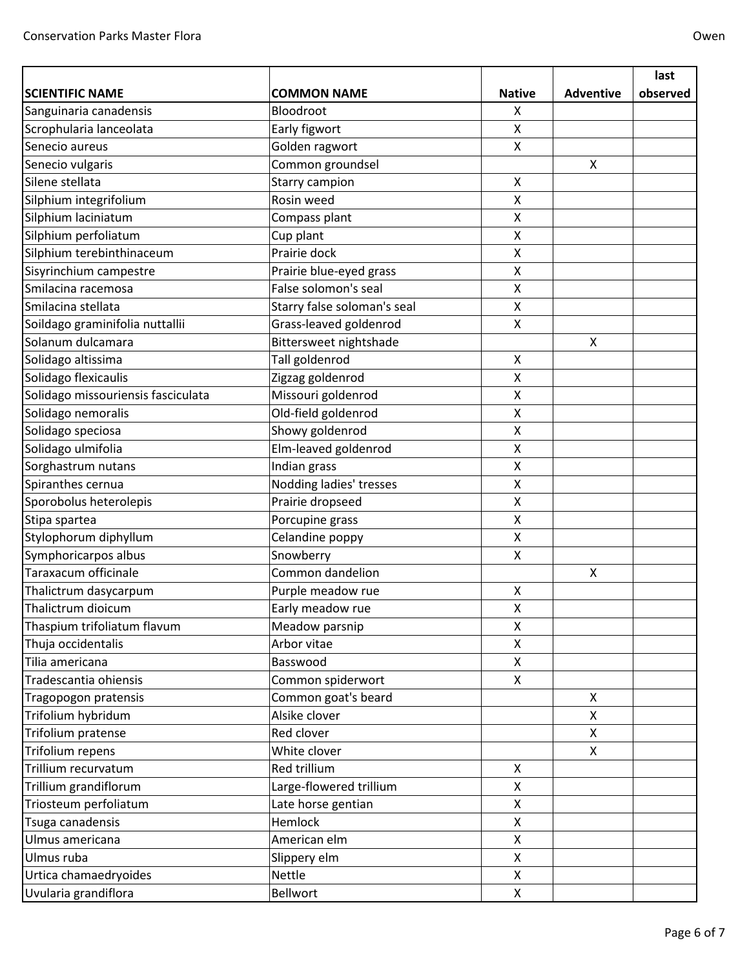|                                    |                             |                           |                  | last     |
|------------------------------------|-----------------------------|---------------------------|------------------|----------|
| <b>SCIENTIFIC NAME</b>             | <b>COMMON NAME</b>          | <b>Native</b>             | <b>Adventive</b> | observed |
| Sanguinaria canadensis             | Bloodroot                   | Χ                         |                  |          |
| Scrophularia lanceolata            | Early figwort               | $\boldsymbol{\mathsf{X}}$ |                  |          |
| Senecio aureus                     | Golden ragwort              | $\boldsymbol{\mathsf{X}}$ |                  |          |
| Senecio vulgaris                   | Common groundsel            |                           | X                |          |
| Silene stellata                    | Starry campion              | $\boldsymbol{\mathsf{X}}$ |                  |          |
| Silphium integrifolium             | Rosin weed                  | $\pmb{\mathsf{X}}$        |                  |          |
| Silphium laciniatum                | Compass plant               | $\pmb{\mathsf{X}}$        |                  |          |
| Silphium perfoliatum               | Cup plant                   | $\mathsf{X}$              |                  |          |
| Silphium terebinthinaceum          | Prairie dock                | X                         |                  |          |
| Sisyrinchium campestre             | Prairie blue-eyed grass     | $\pmb{\times}$            |                  |          |
| Smilacina racemosa                 | False solomon's seal        | $\pmb{\times}$            |                  |          |
| Smilacina stellata                 | Starry false soloman's seal | $\pmb{\times}$            |                  |          |
| Soildago graminifolia nuttallii    | Grass-leaved goldenrod      | $\pmb{\mathsf{X}}$        |                  |          |
| Solanum dulcamara                  | Bittersweet nightshade      |                           | X                |          |
| Solidago altissima                 | Tall goldenrod              | $\boldsymbol{\mathsf{X}}$ |                  |          |
| Solidago flexicaulis               | Zigzag goldenrod            | X                         |                  |          |
| Solidago missouriensis fasciculata | Missouri goldenrod          | $\pmb{\times}$            |                  |          |
| Solidago nemoralis                 | Old-field goldenrod         | $\pmb{\times}$            |                  |          |
| Solidago speciosa                  | Showy goldenrod             | X                         |                  |          |
| Solidago ulmifolia                 | Elm-leaved goldenrod        | $\pmb{\mathsf{X}}$        |                  |          |
| Sorghastrum nutans                 | Indian grass                | $\pmb{\times}$            |                  |          |
| Spiranthes cernua                  | Nodding ladies' tresses     | $\pmb{\times}$            |                  |          |
| Sporobolus heterolepis             | Prairie dropseed            | X                         |                  |          |
| Stipa spartea                      | Porcupine grass             | $\pmb{\times}$            |                  |          |
| Stylophorum diphyllum              | Celandine poppy             | $\pmb{\mathsf{X}}$        |                  |          |
| Symphoricarpos albus               | Snowberry                   | $\boldsymbol{\mathsf{X}}$ |                  |          |
| Taraxacum officinale               | Common dandelion            |                           | X                |          |
| Thalictrum dasycarpum              | Purple meadow rue           | X                         |                  |          |
| Thalictrum dioicum                 | Early meadow rue            | $\pmb{\times}$            |                  |          |
| Thaspium trifoliatum flavum        | Meadow parsnip              | X                         |                  |          |
| Thuja occidentalis                 | Arbor vitae                 | $\mathsf{X}$              |                  |          |
| Tilia americana                    | Basswood                    | $\pmb{\times}$            |                  |          |
| Tradescantia ohiensis              | Common spiderwort           | $\mathsf{X}$              |                  |          |
| Tragopogon pratensis               | Common goat's beard         |                           | X                |          |
| Trifolium hybridum                 | Alsike clover               |                           | X                |          |
| Trifolium pratense                 | Red clover                  |                           | X                |          |
| Trifolium repens                   | White clover                |                           | Χ                |          |
| Trillium recurvatum                | Red trillium                | X                         |                  |          |
| Trillium grandiflorum              | Large-flowered trillium     | $\boldsymbol{\mathsf{X}}$ |                  |          |
| Triosteum perfoliatum              | Late horse gentian          | X                         |                  |          |
| Tsuga canadensis                   | Hemlock                     | X                         |                  |          |
| Ulmus americana                    | American elm                | X                         |                  |          |
| Ulmus ruba                         | Slippery elm                | $\mathsf{X}$              |                  |          |
| Urtica chamaedryoides              | Nettle                      | X                         |                  |          |
| Uvularia grandiflora               | Bellwort                    | X                         |                  |          |